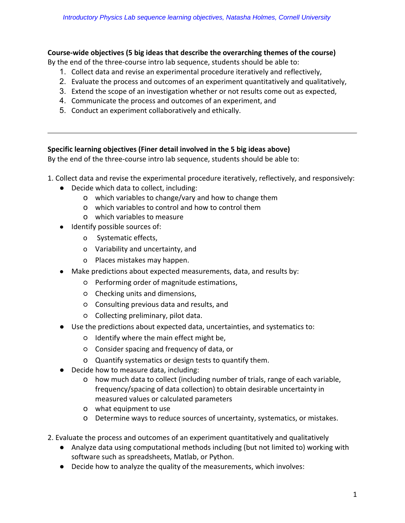## Course-wide objectives (5 big ideas that describe the overarching themes of the course)

By the end of the three-course intro lab sequence, students should be able to:

- 1. Collect data and revise an experimental procedure iteratively and reflectively,
- 2. Evaluate the process and outcomes of an experiment quantitatively and qualitatively,
- 3. Extend the scope of an investigation whether or not results come out as expected,
- 4. Communicate the process and outcomes of an experiment, and
- 5. Conduct an experiment collaboratively and ethically.

## **Specific learning objectives (Finer detail involved in the 5 big ideas above)**

By the end of the three-course intro lab sequence, students should be able to:

- 1. Collect data and revise the experimental procedure iteratively, reflectively, and responsively:
	- Decide which data to collect, including:
		- o which variables to change/vary and how to change them
		- o which variables to control and how to control them
		- o which variables to measure
	- Identify possible sources of:
		- o Systematic effects,
		- o Variability and uncertainty, and
		- o Places mistakes may happen.
	- Make predictions about expected measurements, data, and results by:
		- Performing order of magnitude estimations,
		- o Checking units and dimensions,
		- Consulting previous data and results, and
		- $\circ$  Collecting preliminary, pilot data.
	- Use the predictions about expected data, uncertainties, and systematics to:
		- $\circ$  Identify where the main effect might be,
		- Consider spacing and frequency of data, or
		- o Quantify systematics or design tests to quantify them.
	- Decide how to measure data, including:
		- o how much data to collect (including number of trials, range of each variable, frequency/spacing of data collection) to obtain desirable uncertainty in measured values or calculated parameters
		- o what equipment to use
		- o Determine ways to reduce sources of uncertainty, systematics, or mistakes.
- 2. Evaluate the process and outcomes of an experiment quantitatively and qualitatively
	- Analyze data using computational methods including (but not limited to) working with software such as spreadsheets, Matlab, or Python.
	- Decide how to analyze the quality of the measurements, which involves: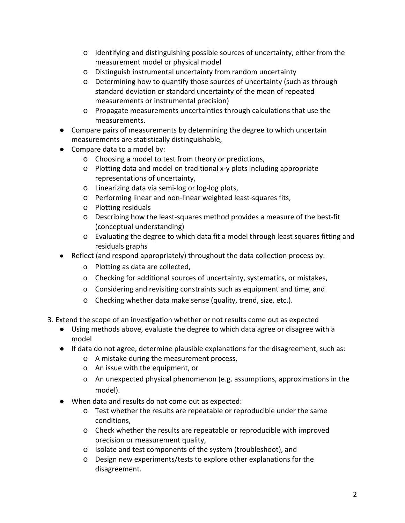- o Identifying and distinguishing possible sources of uncertainty, either from the measurement model or physical model
- o Distinguish instrumental uncertainty from random uncertainty
- o Determining how to quantify those sources of uncertainty (such as through standard deviation or standard uncertainty of the mean of repeated measurements or instrumental precision)
- o Propagate measurements uncertainties through calculations that use the measurements.
- Compare pairs of measurements by determining the degree to which uncertain measurements are statistically distinguishable,
- Compare data to a model by:
	- o Choosing a model to test from theory or predictions,
	- o Plotting data and model on traditional x-y plots including appropriate representations of uncertainty,
	- o Linearizing data via semi-log or log-log plots,
	- o Performing linear and non-linear weighted least-squares fits,
	- o Plotting residuals
	- o Describing how the least-squares method provides a measure of the best-fit (conceptual understanding)
	- o Evaluating the degree to which data fit a model through least squares fitting and residuals graphs
- Reflect (and respond appropriately) throughout the data collection process by:
	- o Plotting as data are collected,
	- o Checking for additional sources of uncertainty, systematics, or mistakes,
	- o Considering and revisiting constraints such as equipment and time, and
	- o Checking whether data make sense (quality, trend, size, etc.).
- 3. Extend the scope of an investigation whether or not results come out as expected
	- Using methods above, evaluate the degree to which data agree or disagree with a model
	- If data do not agree, determine plausible explanations for the disagreement, such as:
		- o A mistake during the measurement process,
		- o An issue with the equipment, or
		- o An unexpected physical phenomenon (e.g. assumptions, approximations in the model).
	- When data and results do not come out as expected:
		- o Test whether the results are repeatable or reproducible under the same conditions,
		- o Check whether the results are repeatable or reproducible with improved precision or measurement quality,
		- o Isolate and test components of the system (troubleshoot), and
		- o Design new experiments/tests to explore other explanations for the disagreement.